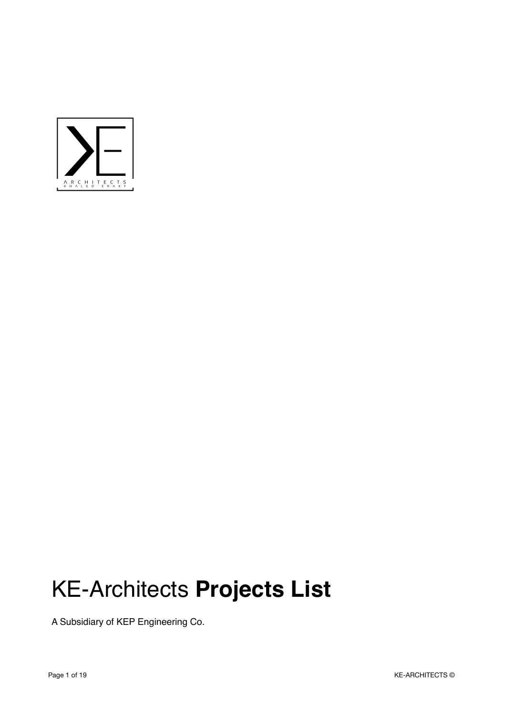

## KE-Architects **Projects List**

A Subsidiary of KEP Engineering Co.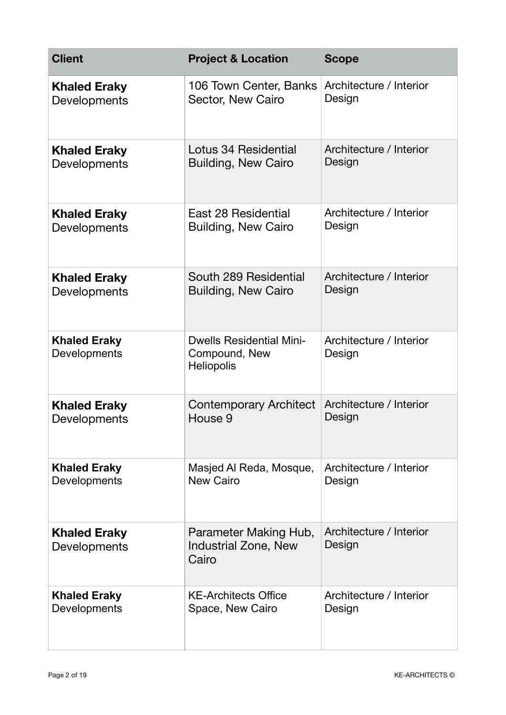| <b>Client</b>                       | <b>Project &amp; Location</b>                                         | <b>Scope</b>                      |
|-------------------------------------|-----------------------------------------------------------------------|-----------------------------------|
| <b>Khaled Eraky</b>                 | 106 Town Center, Banks                                                | Architecture / Interior           |
| Developments                        | Sector, New Cairo                                                     | Design                            |
| <b>Khaled Eraky</b>                 | Lotus 34 Residential                                                  | Architecture / Interior           |
| Developments                        | <b>Building, New Cairo</b>                                            | Design                            |
| <b>Khaled Eraky</b>                 | East 28 Residential                                                   | Architecture / Interior           |
| Developments                        | <b>Building, New Cairo</b>                                            | Design                            |
| <b>Khaled Eraky</b>                 | South 289 Residential                                                 | Architecture / Interior           |
| Developments                        | <b>Building, New Cairo</b>                                            | Design                            |
| <b>Khaled Eraky</b><br>Developments | <b>Dwells Residential Mini-</b><br>Compound, New<br><b>Heliopolis</b> | Architecture / Interior<br>Design |
| <b>Khaled Eraky</b>                 | <b>Contemporary Architect</b>                                         | Architecture / Interior           |
| Developments                        | House 9                                                               | Design                            |
| <b>Khaled Eraky</b>                 | Masjed Al Reda, Mosque,                                               | Architecture / Interior           |
| Developments                        | <b>New Cairo</b>                                                      | Design                            |
| <b>Khaled Eraky</b><br>Developments | Parameter Making Hub,<br><b>Industrial Zone, New</b><br>Cairo         | Architecture / Interior<br>Design |
| <b>Khaled Eraky</b>                 | <b>KE-Architects Office</b>                                           | Architecture / Interior           |
| Developments                        | Space, New Cairo                                                      | Design                            |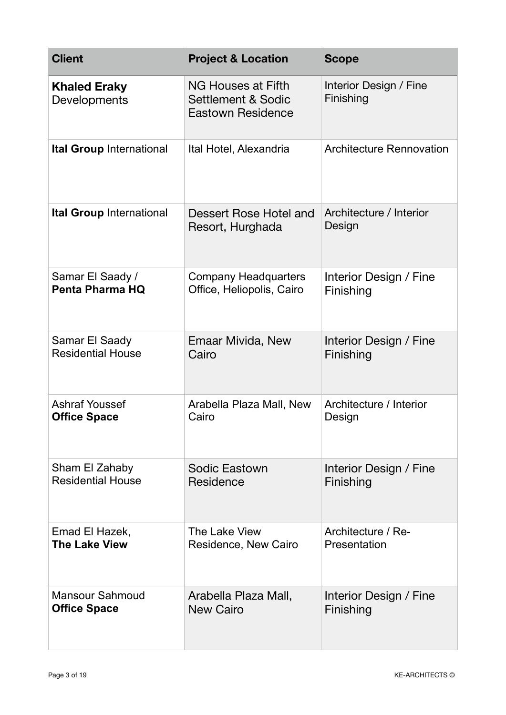| <b>Client</b>                       | <b>Project &amp; Location</b>                                                   | <b>Scope</b>                        |
|-------------------------------------|---------------------------------------------------------------------------------|-------------------------------------|
| <b>Khaled Eraky</b><br>Developments | NG Houses at Fifth<br><b>Settlement &amp; Sodic</b><br><b>Eastown Residence</b> | Interior Design / Fine<br>Finishing |
| Ital Group International            | Ital Hotel, Alexandria                                                          | <b>Architecture Rennovation</b>     |
| <b>Ital Group International</b>     | Dessert Rose Hotel and<br>Resort, Hurghada                                      | Architecture / Interior<br>Design   |
| Samar El Saady /                    | <b>Company Headquarters</b>                                                     | Interior Design / Fine              |
| Penta Pharma HQ                     | Office, Heliopolis, Cairo                                                       | Finishing                           |
| Samar El Saady                      | Emaar Mivida, New                                                               | Interior Design / Fine              |
| <b>Residential House</b>            | Cairo                                                                           | Finishing                           |
| <b>Ashraf Youssef</b>               | Arabella Plaza Mall, New                                                        | Architecture / Interior             |
| <b>Office Space</b>                 | Cairo                                                                           | Design                              |
| Sham El Zahaby                      | Sodic Eastown                                                                   | Interior Design / Fine              |
| <b>Residential House</b>            | Residence                                                                       | Finishing                           |
| Emad El Hazek,                      | The Lake View                                                                   | Architecture / Re-                  |
| <b>The Lake View</b>                | Residence, New Cairo                                                            | Presentation                        |
| <b>Mansour Sahmoud</b>              | Arabella Plaza Mall,                                                            | Interior Design / Fine              |
| <b>Office Space</b>                 | <b>New Cairo</b>                                                                | Finishing                           |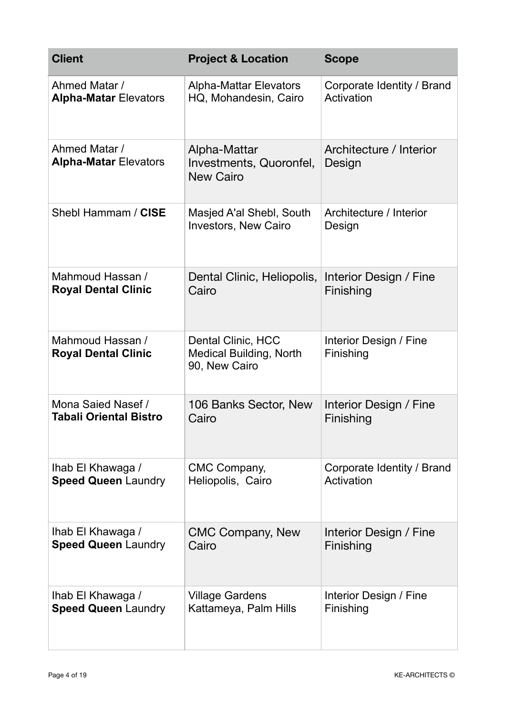| <b>Client</b>                                  | <b>Project &amp; Location</b>                                         | <b>Scope</b>                        |
|------------------------------------------------|-----------------------------------------------------------------------|-------------------------------------|
| Ahmed Matar /                                  | <b>Alpha-Mattar Elevators</b>                                         | Corporate Identity / Brand          |
| <b>Alpha-Matar Elevators</b>                   | HQ, Mohandesin, Cairo                                                 | Activation                          |
| Ahmed Matar /<br><b>Alpha-Matar Elevators</b>  | Alpha-Mattar<br>Investments, Quoronfel,<br><b>New Cairo</b>           | Architecture / Interior<br>Design   |
| Shebl Hammam / CISE                            | Masjed A'al Shebl, South<br>Investors, New Cairo                      | Architecture / Interior<br>Design   |
| Mahmoud Hassan /                               | Dental Clinic, Heliopolis,                                            | Interior Design / Fine              |
| <b>Royal Dental Clinic</b>                     | Cairo                                                                 | Finishing                           |
| Mahmoud Hassan /<br><b>Royal Dental Clinic</b> | Dental Clinic, HCC<br><b>Medical Building, North</b><br>90, New Cairo | Interior Design / Fine<br>Finishing |
| Mona Saied Nasef /                             | 106 Banks Sector, New                                                 | Interior Design / Fine              |
| <b>Tabali Oriental Bistro</b>                  | Cairo                                                                 | Finishing                           |
| Ihab El Khawaga /                              | CMC Company,                                                          | Corporate Identity / Brand          |
| <b>Speed Queen Laundry</b>                     | Heliopolis, Cairo                                                     | Activation                          |
| Ihab El Khawaga /                              | <b>CMC Company, New</b>                                               | Interior Design / Fine              |
| <b>Speed Queen Laundry</b>                     | Cairo                                                                 | Finishing                           |
| Ihab El Khawaga /                              | Village Gardens                                                       | Interior Design / Fine              |
| <b>Speed Queen Laundry</b>                     | Kattameya, Palm Hills                                                 | Finishing                           |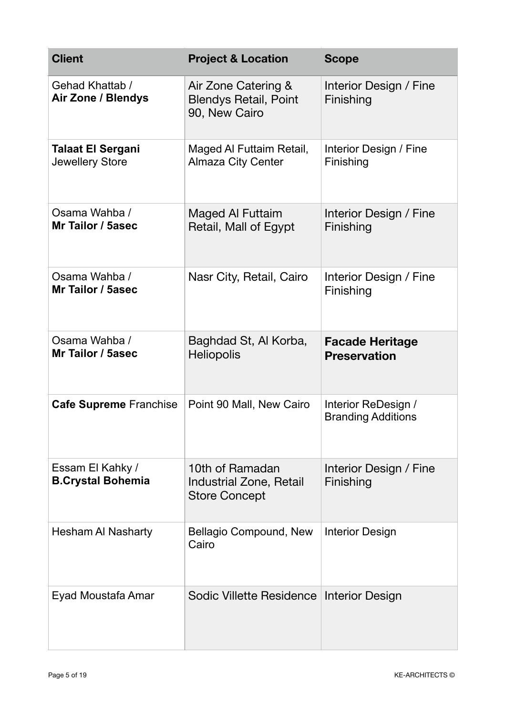| <b>Client</b>                                | <b>Project &amp; Location</b>                                             | <b>Scope</b>                                     |
|----------------------------------------------|---------------------------------------------------------------------------|--------------------------------------------------|
| Gehad Khattab /<br><b>Air Zone / Blendys</b> | Air Zone Catering &<br><b>Blendys Retail, Point</b><br>90, New Cairo      | Interior Design / Fine<br>Finishing              |
| <b>Talaat El Sergani</b><br>Jewellery Store  | Maged Al Futtaim Retail,<br><b>Almaza City Center</b>                     | Interior Design / Fine<br>Finishing              |
| Osama Wahba /<br>Mr Tailor / 5asec           | Maged Al Futtaim<br>Retail, Mall of Egypt                                 | Interior Design / Fine<br>Finishing              |
| Osama Wahba /<br>Mr Tailor / 5asec           | Nasr City, Retail, Cairo                                                  | Interior Design / Fine<br>Finishing              |
| Osama Wahba /<br>Mr Tailor / 5asec           | Baghdad St, Al Korba,<br><b>Heliopolis</b>                                | <b>Facade Heritage</b><br><b>Preservation</b>    |
| <b>Cafe Supreme Franchise</b>                | Point 90 Mall, New Cairo                                                  | Interior ReDesign /<br><b>Branding Additions</b> |
| Essam El Kahky /<br><b>B.Crystal Bohemia</b> | 10th of Ramadan<br><b>Industrial Zone, Retail</b><br><b>Store Concept</b> | Interior Design / Fine<br>Finishing              |
| <b>Hesham AI Nasharty</b>                    | Bellagio Compound, New<br>Cairo                                           | <b>Interior Design</b>                           |
| Eyad Moustafa Amar                           | Sodic Villette Residence Interior Design                                  |                                                  |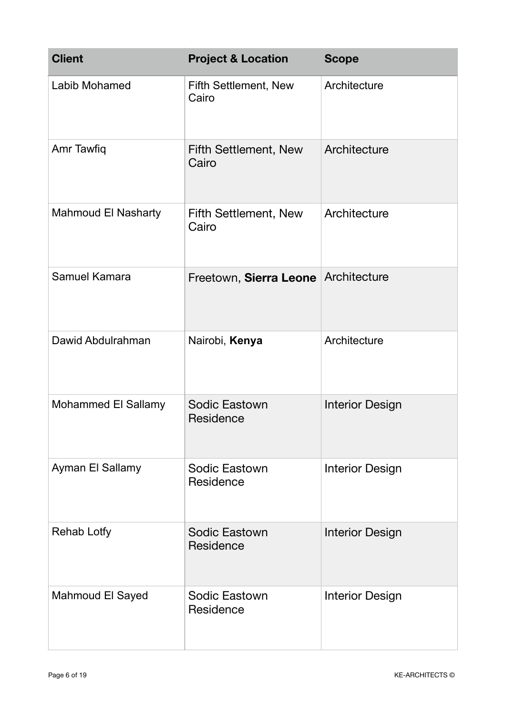| <b>Client</b>              | <b>Project &amp; Location</b>         | <b>Scope</b>           |
|----------------------------|---------------------------------------|------------------------|
| Labib Mohamed              | <b>Fifth Settlement, New</b><br>Cairo | Architecture           |
| Amr Tawfiq                 | <b>Fifth Settlement, New</b><br>Cairo | Architecture           |
| <b>Mahmoud El Nasharty</b> | <b>Fifth Settlement, New</b><br>Cairo | Architecture           |
| Samuel Kamara              | Freetown, Sierra Leone Architecture   |                        |
| Dawid Abdulrahman          | Nairobi, Kenya                        | Architecture           |
| Mohammed El Sallamy        | Sodic Eastown<br>Residence            | <b>Interior Design</b> |
| Ayman El Sallamy           | <b>Sodic Eastown</b><br>Residence     | <b>Interior Design</b> |
| <b>Rehab Lotfy</b>         | <b>Sodic Eastown</b><br>Residence     | <b>Interior Design</b> |
| <b>Mahmoud El Sayed</b>    | Sodic Eastown<br>Residence            | <b>Interior Design</b> |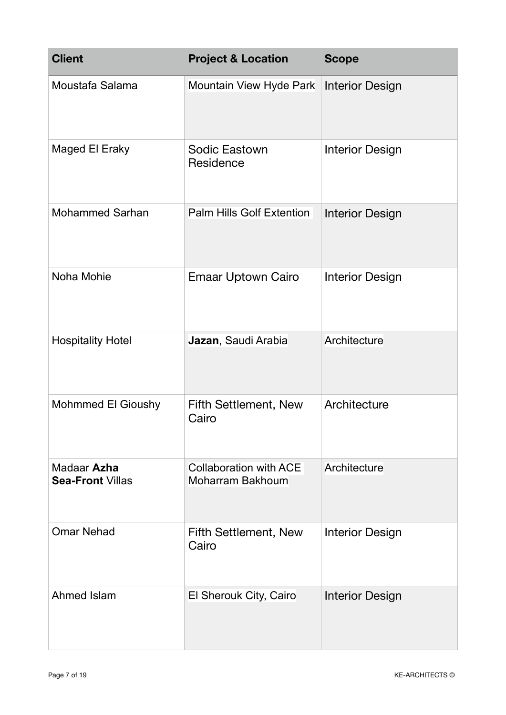| <b>Client</b>                          | <b>Project &amp; Location</b>                     | <b>Scope</b>           |
|----------------------------------------|---------------------------------------------------|------------------------|
| Moustafa Salama                        | Mountain View Hyde Park                           | <b>Interior Design</b> |
| Maged El Eraky                         | Sodic Eastown<br>Residence                        | <b>Interior Design</b> |
| <b>Mohammed Sarhan</b>                 | <b>Palm Hills Golf Extention</b>                  | <b>Interior Design</b> |
| Noha Mohie                             | Emaar Uptown Cairo                                | <b>Interior Design</b> |
| <b>Hospitality Hotel</b>               | Jazan, Saudi Arabia                               | Architecture           |
| <b>Mohmmed El Gioushy</b>              | <b>Fifth Settlement, New</b><br>Cairo             | Architecture           |
| Madaar Azha<br><b>Sea-Front Villas</b> | <b>Collaboration with ACE</b><br>Moharram Bakhoum | Architecture           |
| <b>Omar Nehad</b>                      | <b>Fifth Settlement, New</b><br>Cairo             | <b>Interior Design</b> |
| Ahmed Islam                            | El Sherouk City, Cairo                            | <b>Interior Design</b> |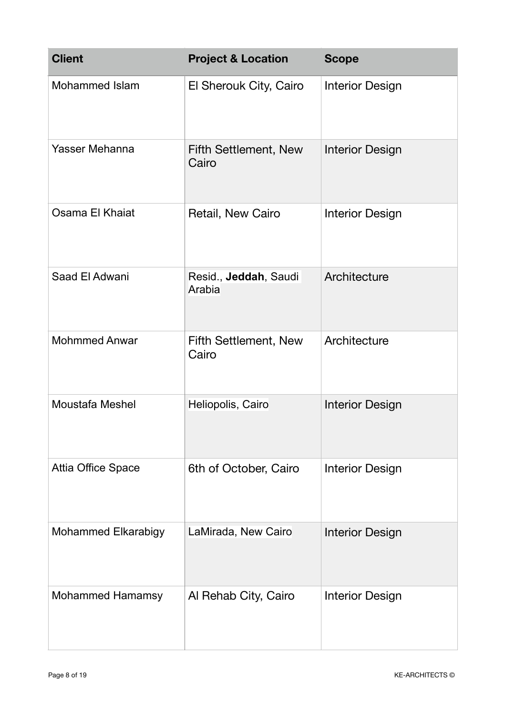| <b>Client</b>              | <b>Project &amp; Location</b>         | <b>Scope</b>           |
|----------------------------|---------------------------------------|------------------------|
| <b>Mohammed Islam</b>      | El Sherouk City, Cairo                | <b>Interior Design</b> |
| Yasser Mehanna             | Fifth Settlement, New<br>Cairo        | <b>Interior Design</b> |
| Osama El Khaiat            | Retail, New Cairo                     | <b>Interior Design</b> |
| Saad El Adwani             | Resid., Jeddah, Saudi<br>Arabia       | Architecture           |
| <b>Mohmmed Anwar</b>       | <b>Fifth Settlement, New</b><br>Cairo | Architecture           |
| <b>Moustafa Meshel</b>     | Heliopolis, Cairo                     | <b>Interior Design</b> |
| <b>Attia Office Space</b>  | 6th of October, Cairo                 | <b>Interior Design</b> |
| <b>Mohammed Elkarabigy</b> | LaMirada, New Cairo                   | <b>Interior Design</b> |
| <b>Mohammed Hamamsy</b>    | Al Rehab City, Cairo                  | <b>Interior Design</b> |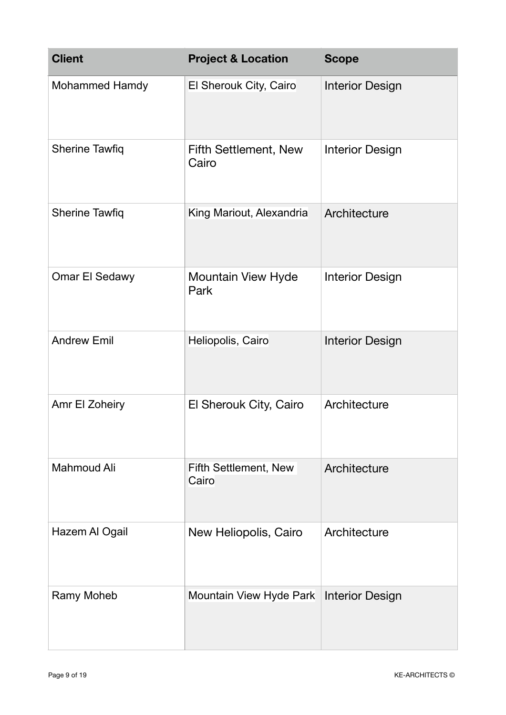| <b>Client</b>         | <b>Project &amp; Location</b>             | <b>Scope</b>           |
|-----------------------|-------------------------------------------|------------------------|
| <b>Mohammed Hamdy</b> | El Sherouk City, Cairo                    | <b>Interior Design</b> |
| <b>Sherine Tawfiq</b> | <b>Fifth Settlement, New</b><br>Cairo     | <b>Interior Design</b> |
| <b>Sherine Tawfiq</b> | King Mariout, Alexandria                  | Architecture           |
| <b>Omar El Sedawy</b> | <b>Mountain View Hyde</b><br>Park         | <b>Interior Design</b> |
| <b>Andrew Emil</b>    | Heliopolis, Cairo                         | <b>Interior Design</b> |
| Amr El Zoheiry        | El Sherouk City, Cairo                    | Architecture           |
| <b>Mahmoud Ali</b>    | Fifth Settlement, New<br>Cairo            | Architecture           |
| Hazem Al Ogail        | New Heliopolis, Cairo                     | Architecture           |
| Ramy Moheb            | Mountain View Hyde Park   Interior Design |                        |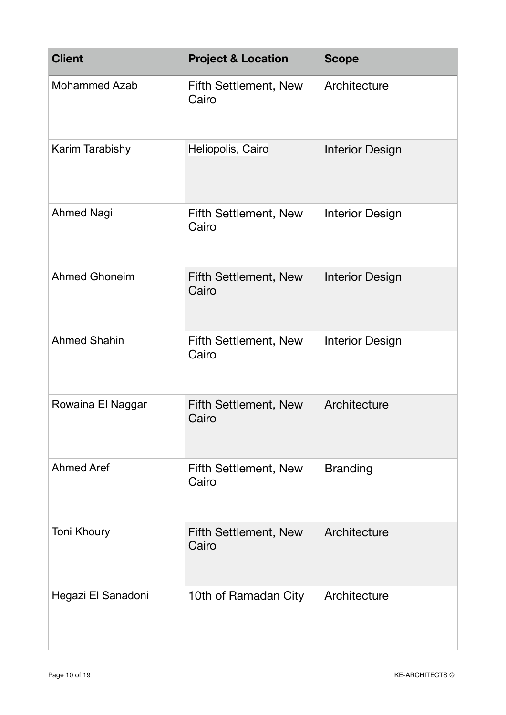| <b>Client</b>        | <b>Project &amp; Location</b>         | <b>Scope</b>           |
|----------------------|---------------------------------------|------------------------|
| <b>Mohammed Azab</b> | <b>Fifth Settlement, New</b><br>Cairo | Architecture           |
| Karim Tarabishy      | Heliopolis, Cairo                     | <b>Interior Design</b> |
| <b>Ahmed Nagi</b>    | <b>Fifth Settlement, New</b><br>Cairo | <b>Interior Design</b> |
| <b>Ahmed Ghoneim</b> | <b>Fifth Settlement, New</b><br>Cairo | <b>Interior Design</b> |
| <b>Ahmed Shahin</b>  | <b>Fifth Settlement, New</b><br>Cairo | <b>Interior Design</b> |
| Rowaina El Naggar    | <b>Fifth Settlement, New</b><br>Cairo | Architecture           |
| <b>Ahmed Aref</b>    | <b>Fifth Settlement, New</b><br>Cairo | <b>Branding</b>        |
| Toni Khoury          | <b>Fifth Settlement, New</b><br>Cairo | Architecture           |
| Hegazi El Sanadoni   | 10th of Ramadan City                  | Architecture           |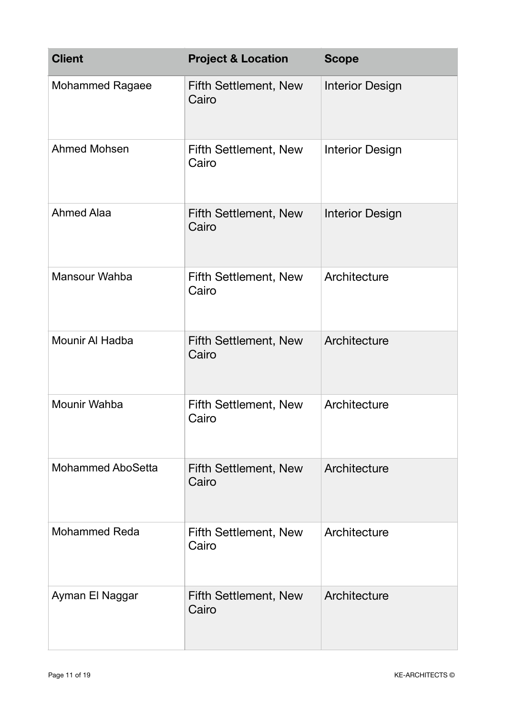| <b>Client</b>            | <b>Project &amp; Location</b>         | <b>Scope</b>           |
|--------------------------|---------------------------------------|------------------------|
| <b>Mohammed Ragaee</b>   | <b>Fifth Settlement, New</b><br>Cairo | <b>Interior Design</b> |
| <b>Ahmed Mohsen</b>      | <b>Fifth Settlement, New</b><br>Cairo | <b>Interior Design</b> |
| <b>Ahmed Alaa</b>        | <b>Fifth Settlement, New</b><br>Cairo | <b>Interior Design</b> |
| Mansour Wahba            | Fifth Settlement, New<br>Cairo        | Architecture           |
| <b>Mounir Al Hadba</b>   | <b>Fifth Settlement, New</b><br>Cairo | Architecture           |
| Mounir Wahba             | <b>Fifth Settlement, New</b><br>Cairo | Architecture           |
| <b>Mohammed AboSetta</b> | <b>Fifth Settlement, New</b><br>Cairo | Architecture           |
| <b>Mohammed Reda</b>     | Fifth Settlement, New<br>Cairo        | Architecture           |
| Ayman El Naggar          | <b>Fifth Settlement, New</b><br>Cairo | Architecture           |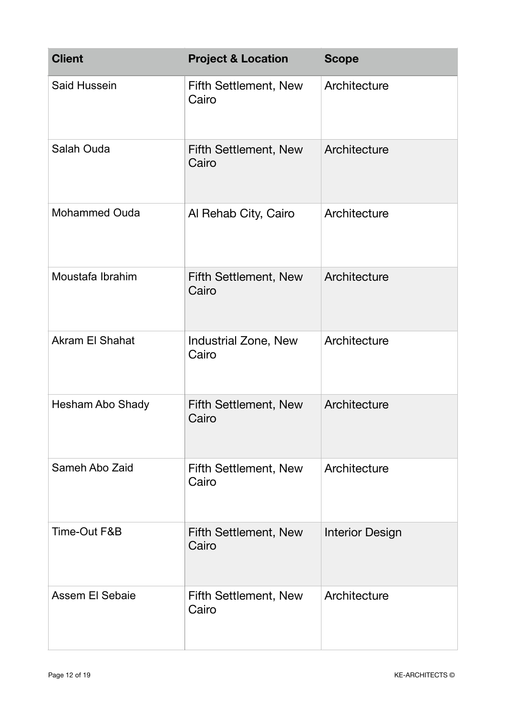| <b>Client</b>          | <b>Project &amp; Location</b>         | <b>Scope</b>           |
|------------------------|---------------------------------------|------------------------|
| Said Hussein           | <b>Fifth Settlement, New</b><br>Cairo | Architecture           |
| Salah Ouda             | <b>Fifth Settlement, New</b><br>Cairo | Architecture           |
| <b>Mohammed Ouda</b>   | Al Rehab City, Cairo                  | Architecture           |
| Moustafa Ibrahim       | <b>Fifth Settlement, New</b><br>Cairo | Architecture           |
| <b>Akram El Shahat</b> | <b>Industrial Zone, New</b><br>Cairo  | Architecture           |
| Hesham Abo Shady       | <b>Fifth Settlement, New</b><br>Cairo | Architecture           |
| Sameh Abo Zaid         | <b>Fifth Settlement, New</b><br>Cairo | Architecture           |
| Time-Out F&B           | Fifth Settlement, New<br>Cairo        | <b>Interior Design</b> |
| Assem El Sebaie        | <b>Fifth Settlement, New</b><br>Cairo | Architecture           |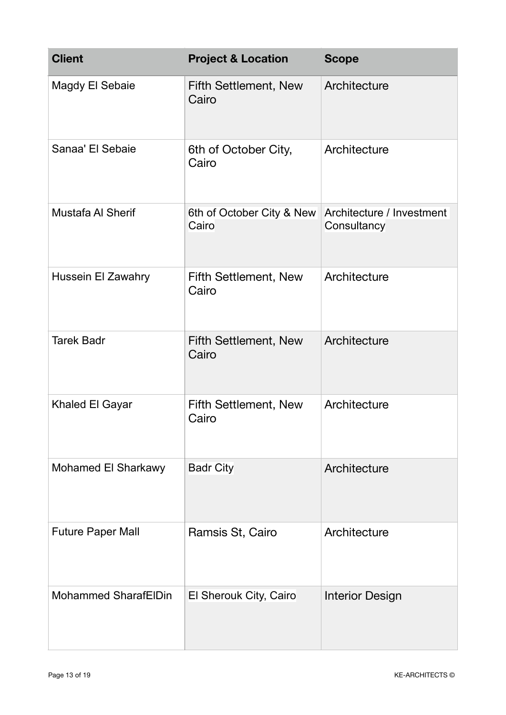| <b>Client</b>               | <b>Project &amp; Location</b>                                | <b>Scope</b>           |
|-----------------------------|--------------------------------------------------------------|------------------------|
| Magdy El Sebaie             | <b>Fifth Settlement, New</b><br>Cairo                        | Architecture           |
| Sanaa' El Sebaie            | 6th of October City,<br>Cairo                                | Architecture           |
| <b>Mustafa AI Sherif</b>    | 6th of October City & New Architecture / Investment<br>Cairo | Consultancy            |
| Hussein El Zawahry          | Fifth Settlement, New<br>Cairo                               | Architecture           |
| <b>Tarek Badr</b>           | <b>Fifth Settlement, New</b><br>Cairo                        | Architecture           |
| Khaled El Gayar             | <b>Fifth Settlement, New</b><br>Cairo                        | Architecture           |
| <b>Mohamed El Sharkawy</b>  | <b>Badr City</b>                                             | Architecture           |
| <b>Future Paper Mall</b>    | Ramsis St, Cairo                                             | Architecture           |
| <b>Mohammed SharafElDin</b> | El Sherouk City, Cairo                                       | <b>Interior Design</b> |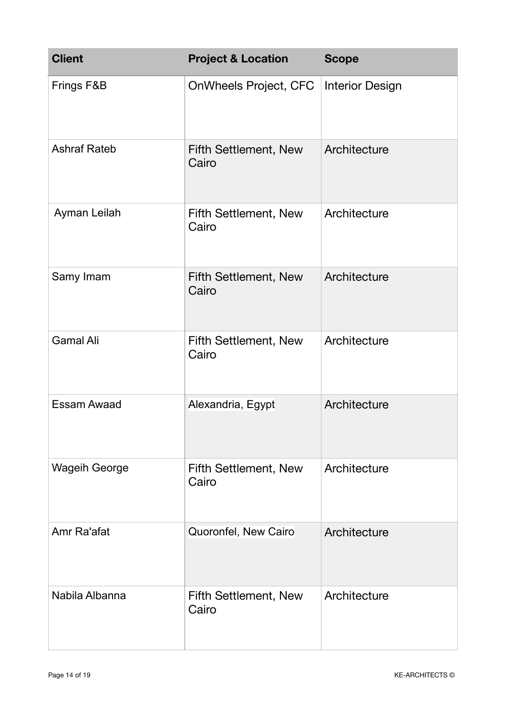| <b>Client</b>        | <b>Project &amp; Location</b>         | <b>Scope</b>           |
|----------------------|---------------------------------------|------------------------|
| Frings F&B           | OnWheels Project, CFC                 | <b>Interior Design</b> |
| <b>Ashraf Rateb</b>  | <b>Fifth Settlement, New</b><br>Cairo | Architecture           |
| Ayman Leilah         | <b>Fifth Settlement, New</b><br>Cairo | Architecture           |
| Samy Imam            | <b>Fifth Settlement, New</b><br>Cairo | Architecture           |
| <b>Gamal Ali</b>     | <b>Fifth Settlement, New</b><br>Cairo | Architecture           |
| <b>Essam Awaad</b>   | Alexandria, Egypt                     | Architecture           |
| <b>Wageih George</b> | <b>Fifth Settlement, New</b><br>Cairo | Architecture           |
| Amr Ra'afat          | Quoronfel, New Cairo                  | Architecture           |
| Nabila Albanna       | <b>Fifth Settlement, New</b><br>Cairo | Architecture           |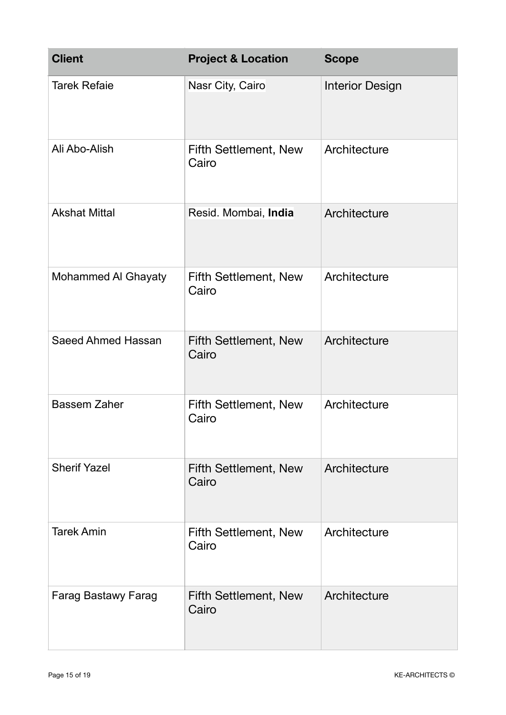| <b>Client</b>              | <b>Project &amp; Location</b>         | <b>Scope</b>           |
|----------------------------|---------------------------------------|------------------------|
| <b>Tarek Refaie</b>        | Nasr City, Cairo                      | <b>Interior Design</b> |
| Ali Abo-Alish              | <b>Fifth Settlement, New</b><br>Cairo | Architecture           |
| <b>Akshat Mittal</b>       | Resid. Mombai, India                  | Architecture           |
| Mohammed Al Ghayaty        | <b>Fifth Settlement, New</b><br>Cairo | Architecture           |
| <b>Saeed Ahmed Hassan</b>  | <b>Fifth Settlement, New</b><br>Cairo | Architecture           |
| <b>Bassem Zaher</b>        | <b>Fifth Settlement, New</b><br>Cairo | Architecture           |
| <b>Sherif Yazel</b>        | <b>Fifth Settlement, New</b><br>Cairo | Architecture           |
| <b>Tarek Amin</b>          | <b>Fifth Settlement, New</b><br>Cairo | Architecture           |
| <b>Farag Bastawy Farag</b> | <b>Fifth Settlement, New</b><br>Cairo | Architecture           |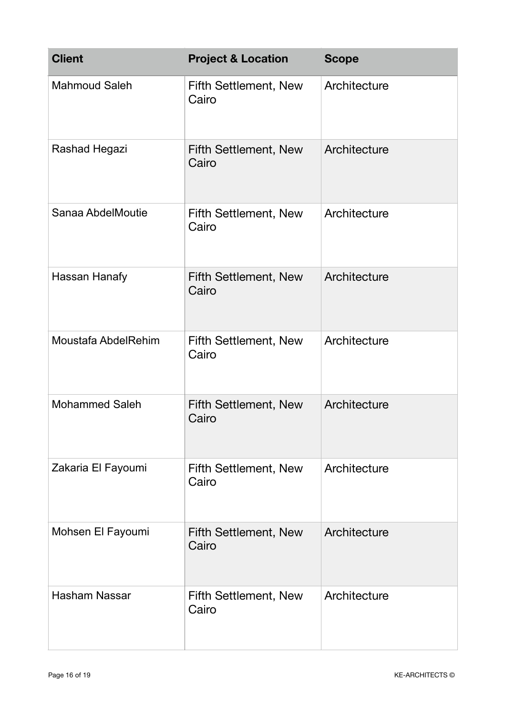| <b>Client</b>         | <b>Project &amp; Location</b>         | <b>Scope</b> |
|-----------------------|---------------------------------------|--------------|
| <b>Mahmoud Saleh</b>  | <b>Fifth Settlement, New</b><br>Cairo | Architecture |
| Rashad Hegazi         | <b>Fifth Settlement, New</b><br>Cairo | Architecture |
| Sanaa AbdelMoutie     | <b>Fifth Settlement, New</b><br>Cairo | Architecture |
| Hassan Hanafy         | <b>Fifth Settlement, New</b><br>Cairo | Architecture |
| Moustafa AbdelRehim   | <b>Fifth Settlement, New</b><br>Cairo | Architecture |
| <b>Mohammed Saleh</b> | <b>Fifth Settlement, New</b><br>Cairo | Architecture |
| Zakaria El Fayoumi    | <b>Fifth Settlement, New</b><br>Cairo | Architecture |
| Mohsen El Fayoumi     | <b>Fifth Settlement, New</b><br>Cairo | Architecture |
| <b>Hasham Nassar</b>  | <b>Fifth Settlement, New</b><br>Cairo | Architecture |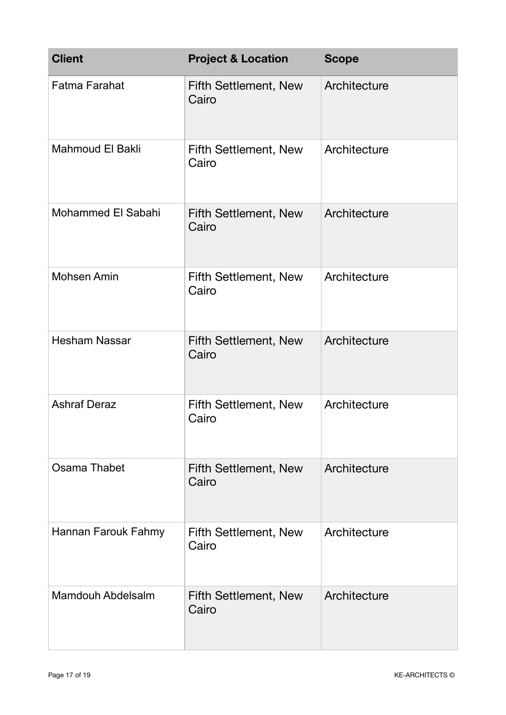| <b>Client</b>            | <b>Project &amp; Location</b>         | <b>Scope</b> |
|--------------------------|---------------------------------------|--------------|
| <b>Fatma Farahat</b>     | <b>Fifth Settlement, New</b><br>Cairo | Architecture |
| Mahmoud El Bakli         | Fifth Settlement, New<br>Cairo        | Architecture |
| Mohammed El Sabahi       | <b>Fifth Settlement, New</b><br>Cairo | Architecture |
| <b>Mohsen Amin</b>       | <b>Fifth Settlement, New</b><br>Cairo | Architecture |
| <b>Hesham Nassar</b>     | <b>Fifth Settlement, New</b><br>Cairo | Architecture |
| <b>Ashraf Deraz</b>      | <b>Fifth Settlement, New</b><br>Cairo | Architecture |
| Osama Thabet             | <b>Fifth Settlement, New</b><br>Cairo | Architecture |
| Hannan Farouk Fahmy      | <b>Fifth Settlement, New</b><br>Cairo | Architecture |
| <b>Mamdouh Abdelsalm</b> | <b>Fifth Settlement, New</b><br>Cairo | Architecture |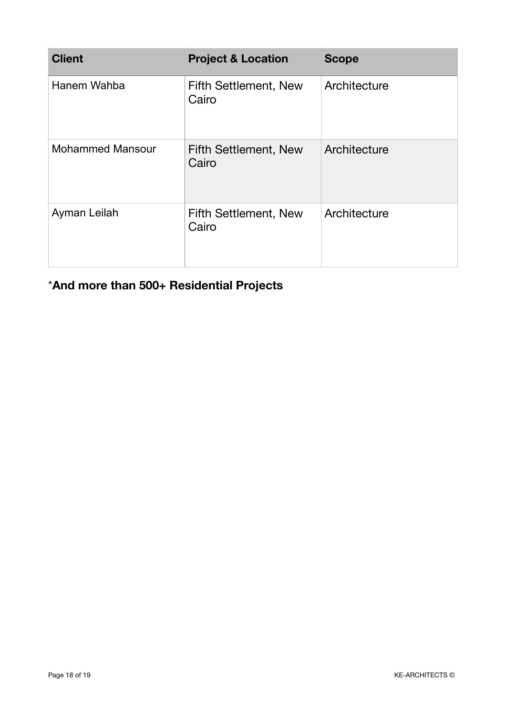| <b>Client</b>           | <b>Project &amp; Location</b>         | <b>Scope</b> |
|-------------------------|---------------------------------------|--------------|
| Hanem Wahba             | <b>Fifth Settlement, New</b><br>Cairo | Architecture |
| <b>Mohammed Mansour</b> | <b>Fifth Settlement, New</b><br>Cairo | Architecture |
| Ayman Leilah            | <b>Fifth Settlement, New</b><br>Cairo | Architecture |

\***And more than 500+ Residential Projects**